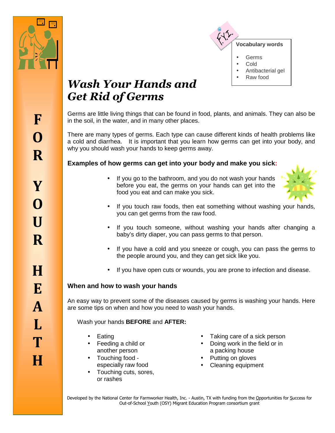



# *Wash Your Hands and Get Rid of Germs*

Germs are little living things that can be found in food, plants, and animals. They can also be in the soil, in the water, and in many other places.

There are many types of germs. Each type can cause different kinds of health problems like a cold and diarrhea. It is important that you learn how germs can get into your body, and why you should wash your hands to keep germs away.

# **Examples of how germs can get into your body and make you sick:**

• If you go to the bathroom, and you do not wash your hands before you eat, the germs on your hands can get into the food you eat and can make you sick.



- If you touch raw foods, then eat something without washing your hands, you can get germs from the raw food.
- If you touch someone, without washing your hands after changing a baby's dirty diaper, you can pass germs to that person.
- If you have a cold and you sneeze or cough, you can pass the germs to the people around you, and they can get sick like you.
- If you have open cuts or wounds, you are prone to infection and disease.

# **When and how to wash your hands**

An easy way to prevent some of the diseases caused by germs is washing your hands. Here are some tips on when and how you need to wash your hands.

Wash your hands **BEFORE** and **AFTER:**

- **Eating**
- Feeding a child or another person
- Touching food especially raw food
- Touching cuts, sores, or rashes
- Taking care of a sick person
- Doing work in the field or in a packing house
- Putting on gloves
- Cleaning equipment

Developed by the National Center for Farmworker Health, Inc. - Austin, TX with funding from the Opportunities for Success for Out-of-School Youth (OSY) Migrant Education Program consortium grant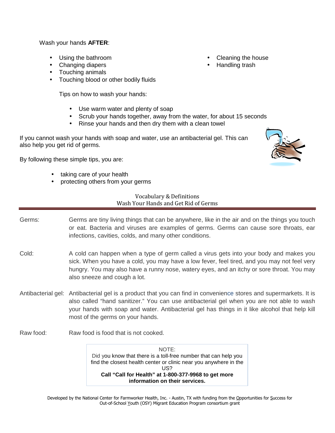Wash your hands **AFTER**:

- Using the bathroom
- Changing diapers
- Touching animals
- Touching blood or other bodily fluids

Tips on how to wash your hands:

- Use warm water and plenty of soap
- Scrub your hands together, away from the water, for about 15 seconds
- Rinse your hands and then dry them with a clean towel

If you cannot wash your hands with soap and water, use an antibacterial gel. This can also help you get rid of germs.

By following these simple tips, you are:

- taking care of your health
- protecting others from your germs

## Vocabulary & Definitions Wash Your Hands and Get Rid of Germs

- Germs: Germs are tiny living things that can be anywhere, like in the air and on the things you touch or eat. Bacteria and viruses are examples of germs. Germs can cause sore throats, ear infections, cavities, colds, and many other conditions.
- Cold: A cold can happen when a type of germ called a virus gets into your body and makes you sick. When you have a cold, you may have a low fever, feel tired, and you may not feel very hungry. You may also have a runny nose, watery eyes, and an itchy or sore throat. You may also sneeze and cough a lot.
- Antibacterial gel: Antibacterial gel is a product that you can find in convenience stores and supermarkets. It is also called "hand sanitizer." You can use antibacterial gel when you are not able to wash your hands with soap and water. Antibacterial gel has things in it like alcohol that help kill most of the germs on your hands.
- Raw food: Raw food is food that is not cooked.

NOTE: Did you know that there is a toll-free number that can help you find the closest health center or clinic near you anywhere in the US? **Call "Call for Health" at 1-800-377-9968 to get more information on their services.**

Developed by the National Center for Farmworker Health, Inc. - Austin, TX with funding from the Opportunities for Success for Out-of-School Youth (OSY) Migrant Education Program consortium grant

- Cleaning the house
- Handling trash

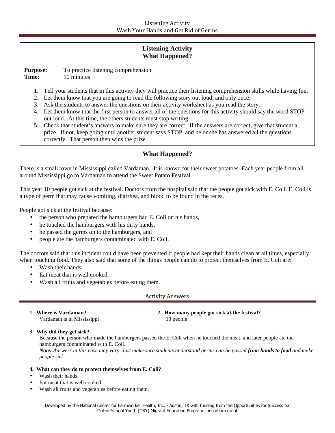## **Listening Activity What Happened?**

**Purpose:** To practice listening comprehension **Time:** 10 minutes

- 1. Tell your students that in this activity they will practice their listening comprehension skills while having fun.
- 2. Let them know that you are going to read the following story out loud, and only once.
- 3. Ask the students to answer the questions on their activity worksheet as you read the story.
- 4. Let them know that the first person to answer all of the questions for this activity should say the word STOP out loud. At this time, the others students must stop writing.
- 5. Check that student's answers to make sure they are correct. If the answers are correct, give that student a prize. If not, keep going until another student says STOP, and he or she has answered all the questions correctly. That person then wins the prize.

## **What Happened?**

There is a small town in Mississippi called Vardaman. It is known for their sweet potatoes. Each year people from all around Mississippi go to Vardaman to attend the Sweet Potato Festival.

This year 10 people got sick at the festival. Doctors from the hospital said that the people got sick with E. Coli. E. Coli is a type of germ that may cause vomiting, diarrhea, and blood to be found in the feces.

People got sick at the festival because:

- the person who prepared the hamburgers had E. Coli on his hands,
- he touched the hamburgers with his dirty hands,
- he passed the germs on to the hamburgers, and
- people ate the hamburgers contaminated with E. Coli.

The doctors said that this incident could have been prevented if people had kept their hands clean at all times, especially when touching food. They also said that some of the things people can do to protect themselves from E. Coli are:

- Wash their hands.
- Eat meat that is well cooked.
- Wash all fruits and vegetables before eating them.

Activity Answers

| 1. Where is Vardaman?      | 2. How many people got sick at the festival? |  |
|----------------------------|----------------------------------------------|--|
| Vardaman is in Mississippi | 10 people                                    |  |

**3. Why did they get sick?** 

Because the person who made the hamburgers passed the E. Coli when he touched the meat, and later people ate the hamburgers contaminated with E. Coli. *Note: Answers in this case may vary. Just make sure students understand germs can be passed from hands to food and make people sick.* 

#### **4. What can they do to protect themselves from E. Coli?**

- Wash their hands.
- Eat meat that is well cooked.
- Wash all fruits and vegetables before eating them.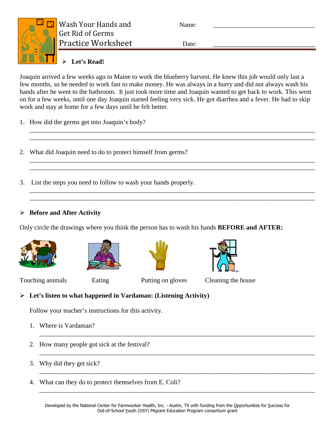

# **Let's Read!**

Joaquin arrived a few weeks ago in Maine to work the blueberry harvest. He knew this job would only last a few months, so he needed to work fast to make money. He was always in a hurry and did not always wash his hands after he went to the bathroom. It just took more time and Joaquin wanted to get back to work. This went on for a few weeks, until one day Joaquin started feeling very sick. He got diarrhea and a fever. He had to skip work and stay at home for a few days until he felt better.

\_\_\_\_\_\_\_\_\_\_\_\_\_\_\_\_\_\_\_\_\_\_\_\_\_\_\_\_\_\_\_\_\_\_\_\_\_\_\_\_\_\_\_\_\_\_\_\_\_\_\_\_\_\_\_\_\_\_\_\_\_\_\_\_\_\_\_\_\_\_\_\_\_\_\_\_\_\_\_\_\_\_\_\_\_\_\_ \_\_\_\_\_\_\_\_\_\_\_\_\_\_\_\_\_\_\_\_\_\_\_\_\_\_\_\_\_\_\_\_\_\_\_\_\_\_\_\_\_\_\_\_\_\_\_\_\_\_\_\_\_\_\_\_\_\_\_\_\_\_\_\_\_\_\_\_\_\_\_\_\_\_\_\_\_\_\_\_\_\_\_\_\_\_\_

\_\_\_\_\_\_\_\_\_\_\_\_\_\_\_\_\_\_\_\_\_\_\_\_\_\_\_\_\_\_\_\_\_\_\_\_\_\_\_\_\_\_\_\_\_\_\_\_\_\_\_\_\_\_\_\_\_\_\_\_\_\_\_\_\_\_\_\_\_\_\_\_\_\_\_\_\_\_\_\_\_\_\_\_\_\_\_ \_\_\_\_\_\_\_\_\_\_\_\_\_\_\_\_\_\_\_\_\_\_\_\_\_\_\_\_\_\_\_\_\_\_\_\_\_\_\_\_\_\_\_\_\_\_\_\_\_\_\_\_\_\_\_\_\_\_\_\_\_\_\_\_\_\_\_\_\_\_\_\_\_\_\_\_\_\_\_\_\_\_\_\_\_\_\_

\_\_\_\_\_\_\_\_\_\_\_\_\_\_\_\_\_\_\_\_\_\_\_\_\_\_\_\_\_\_\_\_\_\_\_\_\_\_\_\_\_\_\_\_\_\_\_\_\_\_\_\_\_\_\_\_\_\_\_\_\_\_\_\_\_\_\_\_\_\_\_\_\_\_\_\_\_\_\_\_\_\_\_\_\_\_\_ \_\_\_\_\_\_\_\_\_\_\_\_\_\_\_\_\_\_\_\_\_\_\_\_\_\_\_\_\_\_\_\_\_\_\_\_\_\_\_\_\_\_\_\_\_\_\_\_\_\_\_\_\_\_\_\_\_\_\_\_\_\_\_\_\_\_\_\_\_\_\_\_\_\_\_\_\_\_\_\_\_\_\_\_\_\_\_

- 1. How did the germs get into Joaquin's body?
- 2. What did Joaquin need to do to protect himself from germs?
- 3. List the steps you need to follow to wash your hands properly.

# **Before and After Activity**

Only circle the drawings where you think the person has to wash his hands **BEFORE and AFTER:**









Touching animals Eating Putting on gloves Cleaning the house

\_\_\_\_\_\_\_\_\_\_\_\_\_\_\_\_\_\_\_\_\_\_\_\_\_\_\_\_\_\_\_\_\_\_\_\_\_\_\_\_\_\_\_\_\_\_\_\_\_\_\_\_\_\_\_\_\_\_\_\_\_\_\_\_\_\_\_\_\_\_\_\_\_\_\_\_\_\_\_\_\_\_\_\_

\_\_\_\_\_\_\_\_\_\_\_\_\_\_\_\_\_\_\_\_\_\_\_\_\_\_\_\_\_\_\_\_\_\_\_\_\_\_\_\_\_\_\_\_\_\_\_\_\_\_\_\_\_\_\_\_\_\_\_\_\_\_\_\_\_\_\_\_\_\_\_\_\_\_\_\_\_\_\_\_\_\_\_\_

\_\_\_\_\_\_\_\_\_\_\_\_\_\_\_\_\_\_\_\_\_\_\_\_\_\_\_\_\_\_\_\_\_\_\_\_\_\_\_\_\_\_\_\_\_\_\_\_\_\_\_\_\_\_\_\_\_\_\_\_\_\_\_\_\_\_\_\_\_\_\_\_\_\_\_\_\_\_\_\_\_\_\_\_

\_\_\_\_\_\_\_\_\_\_\_\_\_\_\_\_\_\_\_\_\_\_\_\_\_\_\_\_\_\_\_\_\_\_\_\_\_\_\_\_\_\_\_\_\_\_\_\_\_\_\_\_\_\_\_\_\_\_\_\_\_\_\_\_\_\_\_\_\_\_\_\_\_\_\_\_\_\_\_\_\_\_\_\_

# **Let's listen to what happened in Vardaman: (Listening Activity)**

Follow your teacher's instructions for this activity.

- 1. Where is Vardaman?
- 2. How many people got sick at the festival?
- 3. Why did they get sick?
- 4. What can they do to protect themselves from E. Coli?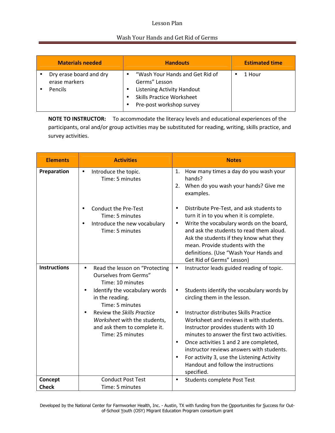## Lesson Plan

## Wash Your Hands and Get Rid of Germs

| <b>Materials needed</b>                             | <b>Handouts</b>                                                                                                                                | <b>Estimated time</b> |
|-----------------------------------------------------|------------------------------------------------------------------------------------------------------------------------------------------------|-----------------------|
| Dry erase board and dry<br>erase markers<br>Pencils | "Wash Your Hands and Get Rid of<br>Germs" Lesson<br>Listening Activity Handout<br><b>Skills Practice Worksheet</b><br>Pre-post workshop survey | 1 Hour                |

**NOTE TO INSTRUCTOR:** To accommodate the literacy levels and educational experiences of the participants, oral and/or group activities may be substituted for reading, writing, skills practice, and survey activities.

| <b>Elements</b>     | <b>Activities</b>                                                                                                                                   | <b>Notes</b>                                                                                                                                                                                                                                                                                                                                                                                              |  |
|---------------------|-----------------------------------------------------------------------------------------------------------------------------------------------------|-----------------------------------------------------------------------------------------------------------------------------------------------------------------------------------------------------------------------------------------------------------------------------------------------------------------------------------------------------------------------------------------------------------|--|
| Preparation         | Introduce the topic.<br>$\bullet$<br>Time: 5 minutes                                                                                                | How many times a day do you wash your<br>1.<br>hands?<br>When do you wash your hands? Give me<br>2.<br>examples.                                                                                                                                                                                                                                                                                          |  |
|                     | <b>Conduct the Pre-Test</b><br>Time: 5 minutes<br>Introduce the new vocabulary<br>$\bullet$<br>Time: 5 minutes                                      | Distribute Pre-Test, and ask students to<br>$\bullet$<br>turn it in to you when it is complete.<br>Write the vocabulary words on the board,<br>$\bullet$<br>and ask the students to read them aloud.<br>Ask the students if they know what they<br>mean. Provide students with the<br>definitions. (Use "Wash Your Hands and<br>Get Rid of Germs" Lesson)                                                 |  |
| <b>Instructions</b> | Read the lesson on "Protecting<br>$\bullet$<br><b>Ourselves from Germs"</b><br>Time: 10 minutes<br>Identify the vocabulary words<br>in the reading. | Instructor leads guided reading of topic.<br>$\bullet$<br>Students identify the vocabulary words by<br>$\bullet$<br>circling them in the lesson.                                                                                                                                                                                                                                                          |  |
|                     | Time: 5 minutes<br>Review the Skills Practice<br>$\bullet$<br>Worksheet with the students,<br>and ask them to complete it.<br>Time: 25 minutes      | Instructor distributes Skills Practice<br>$\bullet$<br>Worksheet and reviews it with students.<br>Instructor provides students with 10<br>minutes to answer the first two activities.<br>Once activities 1 and 2 are completed,<br>$\bullet$<br>instructor reviews answers with students.<br>For activity 3, use the Listening Activity<br>$\bullet$<br>Handout and follow the instructions<br>specified. |  |
| Concept             | <b>Conduct Post Test</b>                                                                                                                            | Students complete Post Test<br>$\bullet$                                                                                                                                                                                                                                                                                                                                                                  |  |
| <b>Check</b>        | Time: 5 minutes                                                                                                                                     |                                                                                                                                                                                                                                                                                                                                                                                                           |  |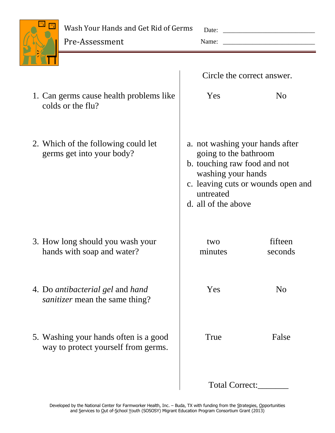

Wash Your Hands and Get Rid of Germs

Pre-Assessment

Date: \_\_\_\_\_\_\_\_\_\_\_\_\_\_\_\_\_\_\_\_\_\_\_\_\_\_\_\_

Name: \_\_\_\_\_\_\_\_\_\_\_\_\_\_\_\_\_\_\_\_\_\_\_\_\_\_\_\_

|                                                                              | Circle the correct answer.                                                                                                                                                               |                    |
|------------------------------------------------------------------------------|------------------------------------------------------------------------------------------------------------------------------------------------------------------------------------------|--------------------|
| 1. Can germs cause health problems like<br>colds or the flu?                 | Yes                                                                                                                                                                                      | N <sub>o</sub>     |
| 2. Which of the following could let<br>germs get into your body?             | a. not washing your hands after<br>going to the bathroom<br>b. touching raw food and not<br>washing your hands<br>c. leaving cuts or wounds open and<br>untreated<br>d. all of the above |                    |
| 3. How long should you wash your<br>hands with soap and water?               | two<br>minutes                                                                                                                                                                           | fifteen<br>seconds |
| 4. Do antibacterial gel and hand<br><i>sanitizer</i> mean the same thing?    | Yes                                                                                                                                                                                      | N <sub>o</sub>     |
| 5. Washing your hands often is a good<br>way to protect yourself from germs. | True                                                                                                                                                                                     | False              |
|                                                                              | Total Correct:                                                                                                                                                                           |                    |